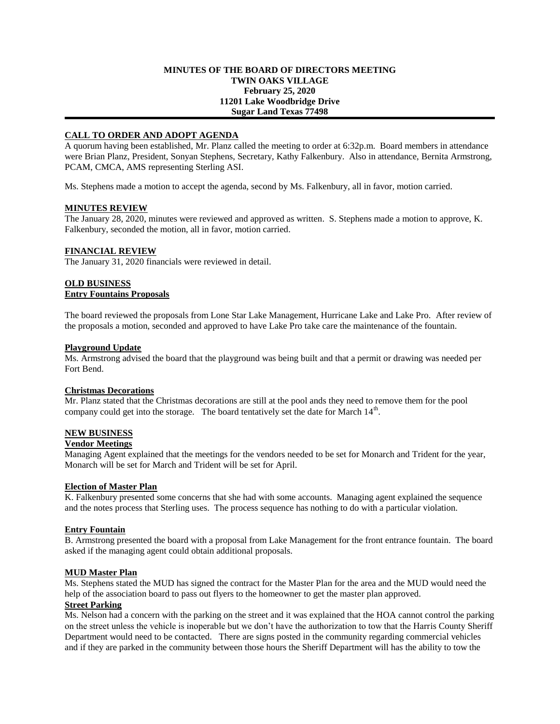## **MINUTES OF THE BOARD OF DIRECTORS MEETING TWIN OAKS VILLAGE February 25, 2020 11201 Lake Woodbridge Drive Sugar Land Texas 77498**

# **CALL TO ORDER AND ADOPT AGENDA**

A quorum having been established, Mr. Planz called the meeting to order at 6:32p.m. Board members in attendance were Brian Planz, President, Sonyan Stephens, Secretary, Kathy Falkenbury. Also in attendance, Bernita Armstrong, PCAM, CMCA, AMS representing Sterling ASI.

Ms. Stephens made a motion to accept the agenda, second by Ms. Falkenbury, all in favor, motion carried.

## **MINUTES REVIEW**

The January 28, 2020, minutes were reviewed and approved as written. S. Stephens made a motion to approve, K. Falkenbury, seconded the motion, all in favor, motion carried.

### **FINANCIAL REVIEW**

The January 31, 2020 financials were reviewed in detail.

## **OLD BUSINESS Entry Fountains Proposals**

The board reviewed the proposals from Lone Star Lake Management, Hurricane Lake and Lake Pro. After review of the proposals a motion, seconded and approved to have Lake Pro take care the maintenance of the fountain.

#### **Playground Update**

Ms. Armstrong advised the board that the playground was being built and that a permit or drawing was needed per Fort Bend.

#### **Christmas Decorations**

Mr. Planz stated that the Christmas decorations are still at the pool ands they need to remove them for the pool company could get into the storage. The board tentatively set the date for March  $14<sup>th</sup>$ .

## **NEW BUSINESS**

### **Vendor Meetings**

Managing Agent explained that the meetings for the vendors needed to be set for Monarch and Trident for the year, Monarch will be set for March and Trident will be set for April.

#### **Election of Master Plan**

K. Falkenbury presented some concerns that she had with some accounts. Managing agent explained the sequence and the notes process that Sterling uses. The process sequence has nothing to do with a particular violation.

### **Entry Fountain**

B. Armstrong presented the board with a proposal from Lake Management for the front entrance fountain. The board asked if the managing agent could obtain additional proposals.

#### **MUD Master Plan**

Ms. Stephens stated the MUD has signed the contract for the Master Plan for the area and the MUD would need the help of the association board to pass out flyers to the homeowner to get the master plan approved.

# **Street Parking**

Ms. Nelson had a concern with the parking on the street and it was explained that the HOA cannot control the parking on the street unless the vehicle is inoperable but we don't have the authorization to tow that the Harris County Sheriff Department would need to be contacted. There are signs posted in the community regarding commercial vehicles and if they are parked in the community between those hours the Sheriff Department will has the ability to tow the